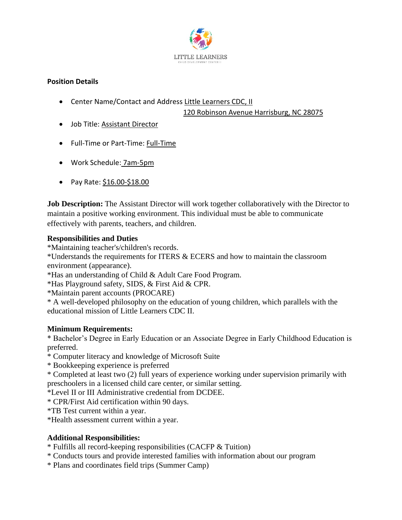

## **Position Details**

• Center Name/Contact and Address Little Learners CDC, II

120 Robinson Avenue Harrisburg, NC 28075

- Job Title: Assistant Director
- Full-Time or Part-Time: Full-Time
- Work Schedule: 7am-5pm
- Pay Rate: \$16.00-\$18.00

**Job Description:** The Assistant Director will work together collaboratively with the Director to maintain a positive working environment. This individual must be able to communicate effectively with parents, teachers, and children.

## **Responsibilities and Duties**

\*Maintaining teacher's/children's records.

\*Understands the requirements for ITERS & ECERS and how to maintain the classroom environment (appearance).

\*Has an understanding of Child & Adult Care Food Program.

\*Has Playground safety, SIDS, & First Aid & CPR.

\*Maintain parent accounts (PROCARE)

\* A well-developed philosophy on the education of young children, which parallels with the educational mission of Little Learners CDC II.

## **Minimum Requirements:**

\* Bachelor's Degree in Early Education or an Associate Degree in Early Childhood Education is preferred.

\* Computer literacy and knowledge of Microsoft Suite

\* Bookkeeping experience is preferred

\* Completed at least two (2) full years of experience working under supervision primarily with preschoolers in a licensed child care center, or similar setting.

\*Level II or III Administrative credential from DCDEE.

\* CPR/First Aid certification within 90 days.

\*TB Test current within a year.

\*Health assessment current within a year.

## **Additional Responsibilities:**

\* Fulfills all record-keeping responsibilities (CACFP & Tuition)

- \* Conducts tours and provide interested families with information about our program
- \* Plans and coordinates field trips (Summer Camp)